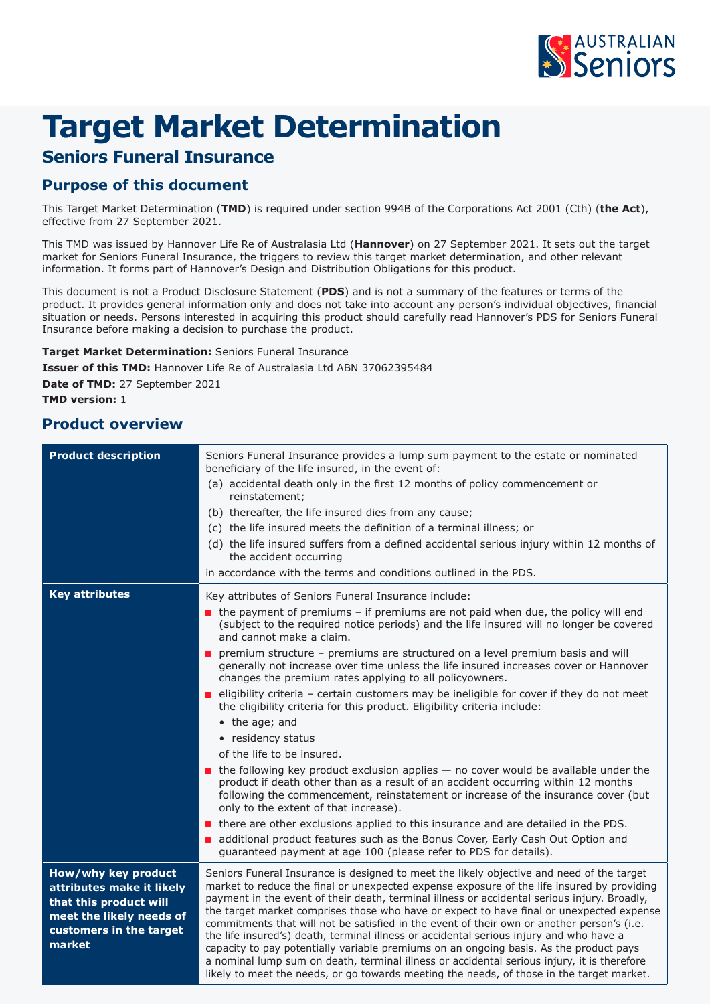

# **Target Market Determination**

## **Seniors Funeral Insurance**

### **Purpose of this document**

This Target Market Determination (**TMD**) is required under section 994B of the Corporations Act 2001 (Cth) (**the Act**), effective from 27 September 2021.

This TMD was issued by Hannover Life Re of Australasia Ltd (**Hannover**) on 27 September 2021. It sets out the target market for Seniors Funeral Insurance, the triggers to review this target market determination, and other relevant information. It forms part of Hannover's Design and Distribution Obligations for this product.

This document is not a Product Disclosure Statement (**PDS**) and is not a summary of the features or terms of the product. It provides general information only and does not take into account any person's individual objectives, financial situation or needs. Persons interested in acquiring this product should carefully read Hannover's PDS for Seniors Funeral Insurance before making a decision to purchase the product.

**Target Market Determination:** Seniors Funeral Insurance **Issuer of this TMD:** Hannover Life Re of Australasia Ltd ABN 37062395484 **Date of TMD:** 27 September 2021 **TMD version:** 1

### **Product overview**

| <b>Product description</b>                                                                                                                  | Seniors Funeral Insurance provides a lump sum payment to the estate or nominated<br>beneficiary of the life insured, in the event of:<br>(a) accidental death only in the first 12 months of policy commencement or<br>reinstatement;<br>(b) thereafter, the life insured dies from any cause;<br>(c) the life insured meets the definition of a terminal illness; or<br>(d) the life insured suffers from a defined accidental serious injury within 12 months of<br>the accident occurring<br>in accordance with the terms and conditions outlined in the PDS.                                                                                                                                                                                                                                                                                                   |
|---------------------------------------------------------------------------------------------------------------------------------------------|--------------------------------------------------------------------------------------------------------------------------------------------------------------------------------------------------------------------------------------------------------------------------------------------------------------------------------------------------------------------------------------------------------------------------------------------------------------------------------------------------------------------------------------------------------------------------------------------------------------------------------------------------------------------------------------------------------------------------------------------------------------------------------------------------------------------------------------------------------------------|
| <b>Key attributes</b>                                                                                                                       | Key attributes of Seniors Funeral Insurance include:<br>the payment of premiums - if premiums are not paid when due, the policy will end<br>(subject to the required notice periods) and the life insured will no longer be covered<br>and cannot make a claim.                                                                                                                                                                                                                                                                                                                                                                                                                                                                                                                                                                                                    |
|                                                                                                                                             | premium structure - premiums are structured on a level premium basis and will<br>generally not increase over time unless the life insured increases cover or Hannover<br>changes the premium rates applying to all policyowners.                                                                                                                                                                                                                                                                                                                                                                                                                                                                                                                                                                                                                                   |
|                                                                                                                                             | eligibility criteria - certain customers may be ineligible for cover if they do not meet<br>the eligibility criteria for this product. Eligibility criteria include:                                                                                                                                                                                                                                                                                                                                                                                                                                                                                                                                                                                                                                                                                               |
|                                                                                                                                             | • the age; and                                                                                                                                                                                                                                                                                                                                                                                                                                                                                                                                                                                                                                                                                                                                                                                                                                                     |
|                                                                                                                                             | • residency status                                                                                                                                                                                                                                                                                                                                                                                                                                                                                                                                                                                                                                                                                                                                                                                                                                                 |
|                                                                                                                                             | of the life to be insured.                                                                                                                                                                                                                                                                                                                                                                                                                                                                                                                                                                                                                                                                                                                                                                                                                                         |
|                                                                                                                                             | $\blacksquare$ the following key product exclusion applies $-$ no cover would be available under the<br>product if death other than as a result of an accident occurring within 12 months<br>following the commencement, reinstatement or increase of the insurance cover (but<br>only to the extent of that increase).                                                                                                                                                                                                                                                                                                                                                                                                                                                                                                                                            |
|                                                                                                                                             | there are other exclusions applied to this insurance and are detailed in the PDS.                                                                                                                                                                                                                                                                                                                                                                                                                                                                                                                                                                                                                                                                                                                                                                                  |
|                                                                                                                                             | additional product features such as the Bonus Cover, Early Cash Out Option and<br>guaranteed payment at age 100 (please refer to PDS for details).                                                                                                                                                                                                                                                                                                                                                                                                                                                                                                                                                                                                                                                                                                                 |
| How/why key product<br>attributes make it likely<br>that this product will<br>meet the likely needs of<br>customers in the target<br>market | Seniors Funeral Insurance is designed to meet the likely objective and need of the target<br>market to reduce the final or unexpected expense exposure of the life insured by providing<br>payment in the event of their death, terminal illness or accidental serious injury. Broadly,<br>the target market comprises those who have or expect to have final or unexpected expense<br>commitments that will not be satisfied in the event of their own or another person's (i.e.<br>the life insured's) death, terminal illness or accidental serious injury and who have a<br>capacity to pay potentially variable premiums on an ongoing basis. As the product pays<br>a nominal lump sum on death, terminal illness or accidental serious injury, it is therefore<br>likely to meet the needs, or go towards meeting the needs, of those in the target market. |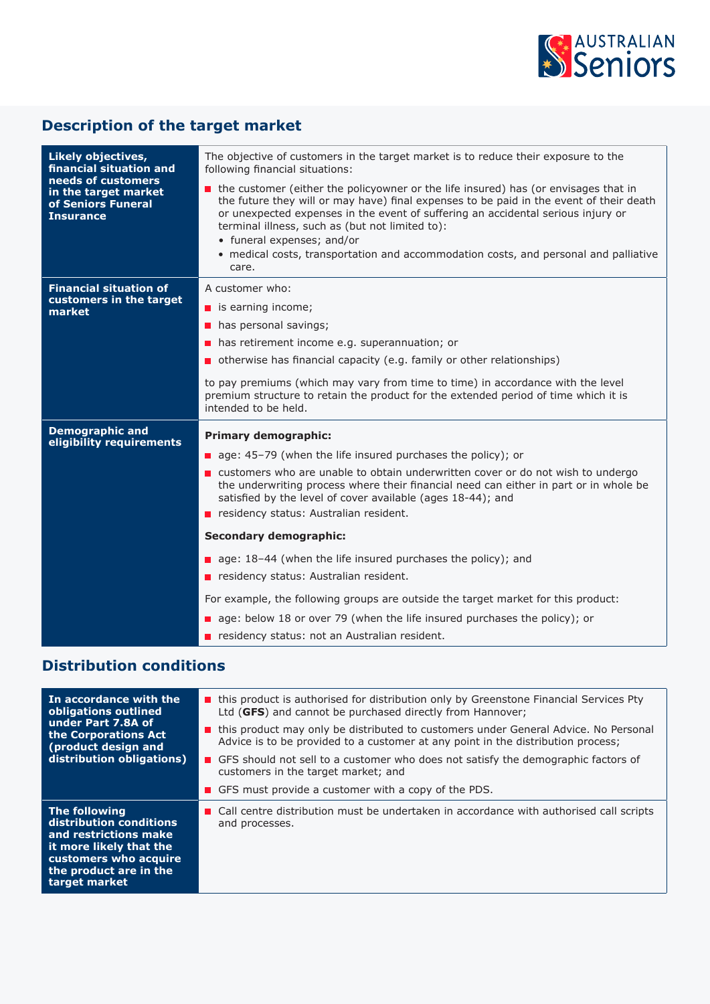

# **Description of the target market**

| Likely objectives,<br>financial situation and<br>needs of customers<br>in the target market<br>of Seniors Funeral<br><b>Insurance</b> | The objective of customers in the target market is to reduce their exposure to the<br>following financial situations:<br>the customer (either the policyowner or the life insured) has (or envisages that in<br>the future they will or may have) final expenses to be paid in the event of their death<br>or unexpected expenses in the event of suffering an accidental serious injury or |
|---------------------------------------------------------------------------------------------------------------------------------------|---------------------------------------------------------------------------------------------------------------------------------------------------------------------------------------------------------------------------------------------------------------------------------------------------------------------------------------------------------------------------------------------|
|                                                                                                                                       | terminal illness, such as (but not limited to):<br>• funeral expenses; and/or<br>• medical costs, transportation and accommodation costs, and personal and palliative<br>care.                                                                                                                                                                                                              |
| <b>Financial situation of</b><br>customers in the target<br>market                                                                    | A customer who:                                                                                                                                                                                                                                                                                                                                                                             |
|                                                                                                                                       | $\blacksquare$ is earning income;                                                                                                                                                                                                                                                                                                                                                           |
|                                                                                                                                       | has personal savings;<br>$\blacksquare$                                                                                                                                                                                                                                                                                                                                                     |
|                                                                                                                                       | has retirement income e.g. superannuation; or<br>П                                                                                                                                                                                                                                                                                                                                          |
|                                                                                                                                       | otherwise has financial capacity (e.g. family or other relationships)                                                                                                                                                                                                                                                                                                                       |
|                                                                                                                                       | to pay premiums (which may vary from time to time) in accordance with the level<br>premium structure to retain the product for the extended period of time which it is<br>intended to be held.                                                                                                                                                                                              |
| <b>Demographic and</b><br>eligibility requirements                                                                                    | <b>Primary demographic:</b>                                                                                                                                                                                                                                                                                                                                                                 |
|                                                                                                                                       | age: 45-79 (when the life insured purchases the policy); or                                                                                                                                                                                                                                                                                                                                 |
|                                                                                                                                       | ■ customers who are unable to obtain underwritten cover or do not wish to undergo<br>the underwriting process where their financial need can either in part or in whole be<br>satisfied by the level of cover available (ages 18-44); and                                                                                                                                                   |
|                                                                                                                                       | residency status: Australian resident.                                                                                                                                                                                                                                                                                                                                                      |
|                                                                                                                                       | <b>Secondary demographic:</b>                                                                                                                                                                                                                                                                                                                                                               |
|                                                                                                                                       | age: 18-44 (when the life insured purchases the policy); and                                                                                                                                                                                                                                                                                                                                |
|                                                                                                                                       | residency status: Australian resident.                                                                                                                                                                                                                                                                                                                                                      |
|                                                                                                                                       | For example, the following groups are outside the target market for this product:                                                                                                                                                                                                                                                                                                           |
|                                                                                                                                       | age: below 18 or over 79 (when the life insured purchases the policy); or                                                                                                                                                                                                                                                                                                                   |
|                                                                                                                                       | residency status: not an Australian resident.                                                                                                                                                                                                                                                                                                                                               |

# **Distribution conditions**

| In accordance with the<br>obligations outlined<br>under Part 7.8A of<br>the Corporations Act<br>(product design and<br>distribution obligations)                        | this product is authorised for distribution only by Greenstone Financial Services Pty<br>Ltd (GFS) and cannot be purchased directly from Hannover;                      |
|-------------------------------------------------------------------------------------------------------------------------------------------------------------------------|-------------------------------------------------------------------------------------------------------------------------------------------------------------------------|
|                                                                                                                                                                         | this product may only be distributed to customers under General Advice. No Personal<br>Advice is to be provided to a customer at any point in the distribution process; |
|                                                                                                                                                                         | GFS should not sell to a customer who does not satisfy the demographic factors of<br>customers in the target market; and                                                |
|                                                                                                                                                                         | <b>GFS</b> must provide a customer with a copy of the PDS.                                                                                                              |
| <b>The following</b><br>distribution conditions<br>and restrictions make<br>it more likely that the<br>customers who acquire<br>the product are in the<br>target market | ■ Call centre distribution must be undertaken in accordance with authorised call scripts<br>and processes.                                                              |